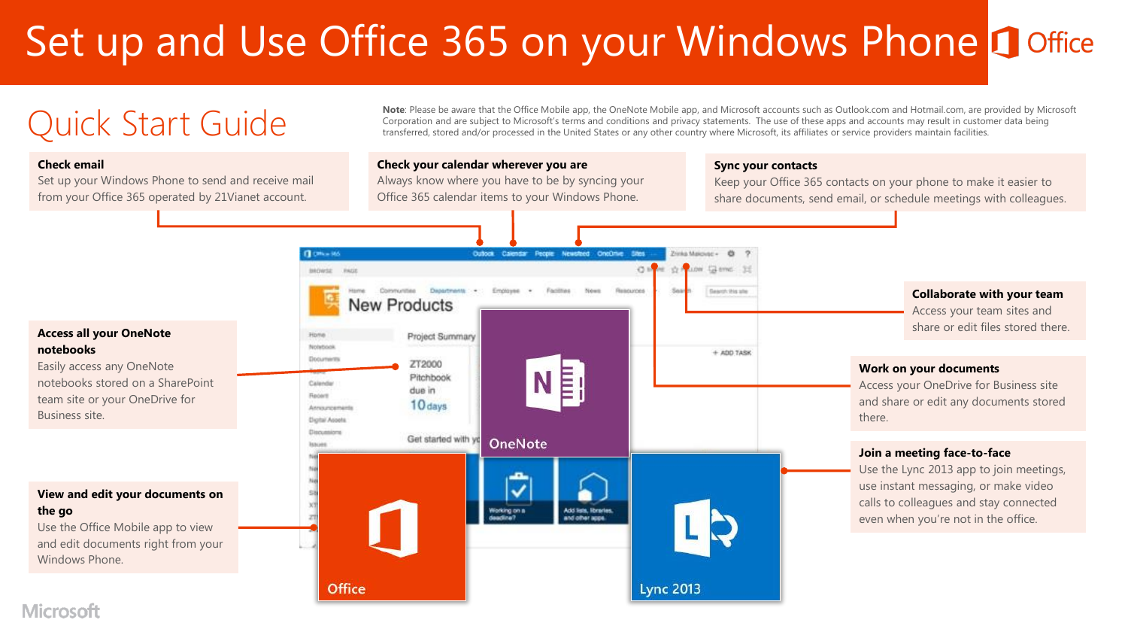# Set up and Use Office 365 on your Windows Phone Doffice



### Microsoft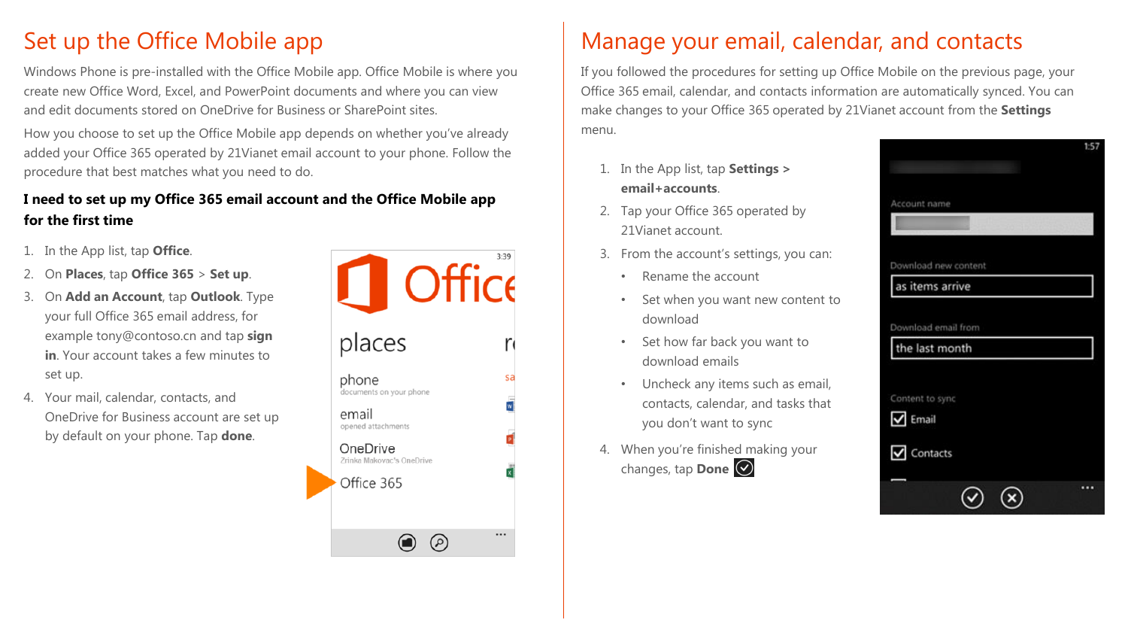# Set up the Office Mobile app

Windows Phone is pre-installed with the Office Mobile app. Office Mobile is where you create new Office Word, Excel, and PowerPoint documents and where you can view and edit documents stored on OneDrive for Business or SharePoint sites.

How you choose to set up the Office Mobile app depends on whether you've already added your Office 365 operated by 21Vianet email account to your phone. Follow the procedure that best matches what you need to do.

### **I need to set up my Office 365 email account and the Office Mobile app for the first time**

- 1. In the App list, tap **Office**.
- 2. On **Places**, tap **Office 365** > **Set up**.
- 3. On **Add an Account**, tap **Outlook**. Type your full Office 365 email address, for example tony@contoso.cn and tap **sign in**. Your account takes a few minutes to set up.
- 4. Your mail, calendar, contacts, and OneDrive for Business account are set up by default on your phone. Tap **done**.



# Manage your email, calendar, and contacts

If you followed the procedures for setting up Office Mobile on the previous page, your Office 365 email, calendar, and contacts information are automatically synced. You can make changes to your Office 365 operated by 21Vianet account from the **Settings**  menu.

- 1. In the App list, tap **Settings > email+accounts**.
- 2. Tap your Office 365 operated by 21Vianet account.
- 3. From the account's settings, you can:
	- Rename the account
	- Set when you want new content to download
	- Set how far back you want to download emails
	- Uncheck any items such as email, contacts, calendar, and tasks that you don't want to sync
- 4. When you're finished making your changes, tap **Done**

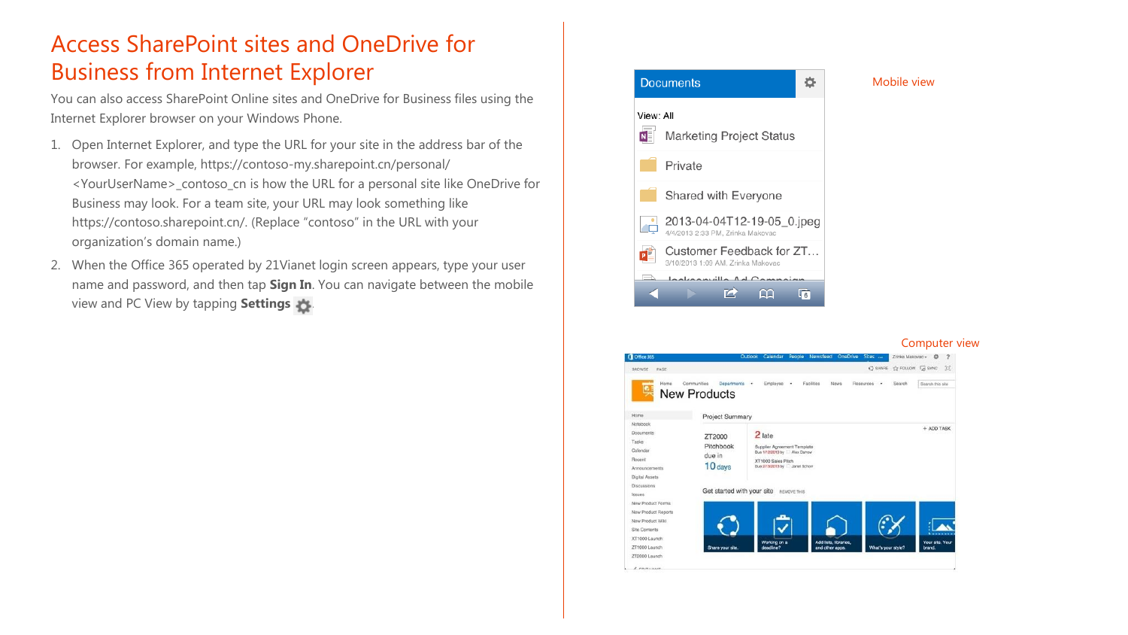# Access SharePoint sites and OneDrive for Business from Internet Explorer

You can also access SharePoint Online sites and OneDrive for Business files using the Internet Explorer browser on your Windows Phone.

- 1. Open Internet Explorer, and type the URL for your site in the address bar of the browser. For example, https://contoso-my.sharepoint.cn/personal/ <YourUserName>\_contoso\_cn is how the URL for a personal site like OneDrive for Business may look. For a team site, your URL may look something like https://contoso.sharepoint.cn/. (Replace "contoso" in the URL with your organization's domain name.)
- 2. When the Office 365 operated by 21Vianet login screen appears, type your user name and password, and then tap **Sign In**. You can navigate between the mobile view and PC View by tapping **Settings** .



Mobile view

#### Computer view

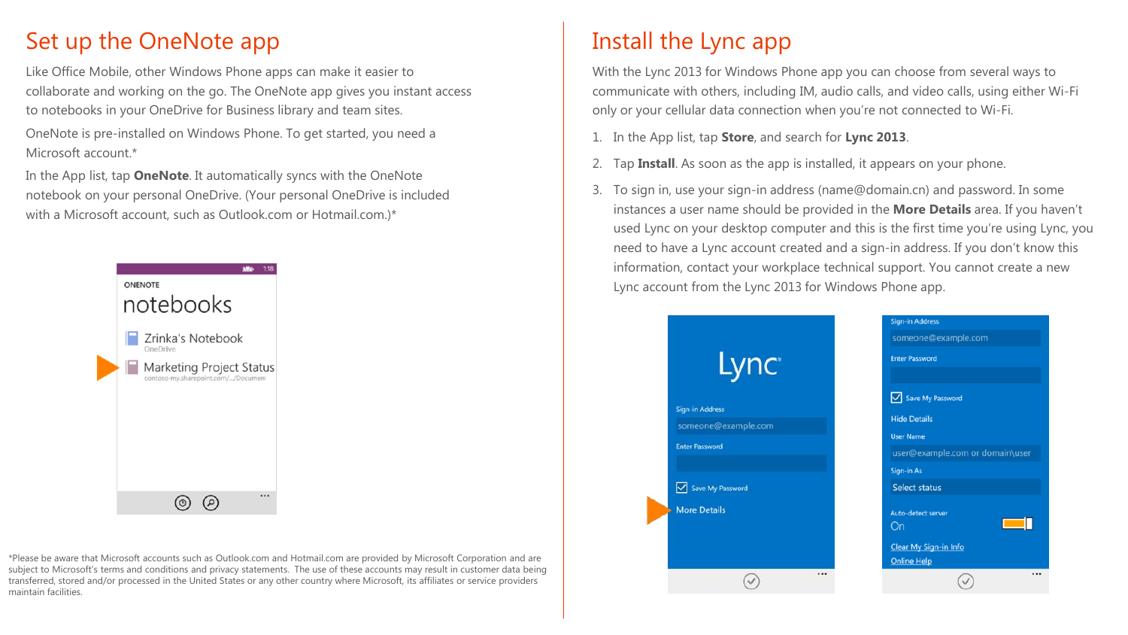# Set up the OneNote app

Like Office Mobile, other Windows Phone apps can make it easier to collaborate and working on the go. The OneNote app gives you instant access to notebooks in your OneDrive for Business library and team sites.

OneNote is pre-installed on Windows Phone. To get started, you need a Microsoft account<sup>\*</sup>

In the App list, tap **OneNote**. It automatically syncs with the OneNote notebook on your personal OneDrive. (Your personal OneDrive is included with a Microsoft account, such as Outlook.com or Hotmail.com.)\*



\*Please be aware that Microsoft accounts such as Outlook.com and Hotmail.com are provided by Microsoft Corporation and are subject to Microsoft's terms and conditions and privacy statements. The use of these accounts may result in customer data being transferred, stored and/or processed in the United States or any other country where Microsoft, its affiliates or service providers maintain facilities.

# Install the Lync app

With the Lync 2013 for Windows Phone app you can choose from several ways to communicate with others, including IM, audio calls, and video calls, using either Wi-Fi only or your cellular data connection when you're not connected to Wi-Fi.

- 1. In the App list, tap **Store**, and search for **Lync 2013**.
- 2. Tap **Install**. As soon as the app is installed, it appears on your phone.
- 3. To sign in, use your sign-in address (name@domain.cn) and password. In some instances a user name should be provided in the **More Details** area. If you haven't used Lync on your desktop computer and this is the first time you're using Lync, you need to have a Lync account created and a sign-in address. If you don't know this information, contact your workplace technical support. You cannot create a new Lync account from the Lync 2013 for Windows Phone app.

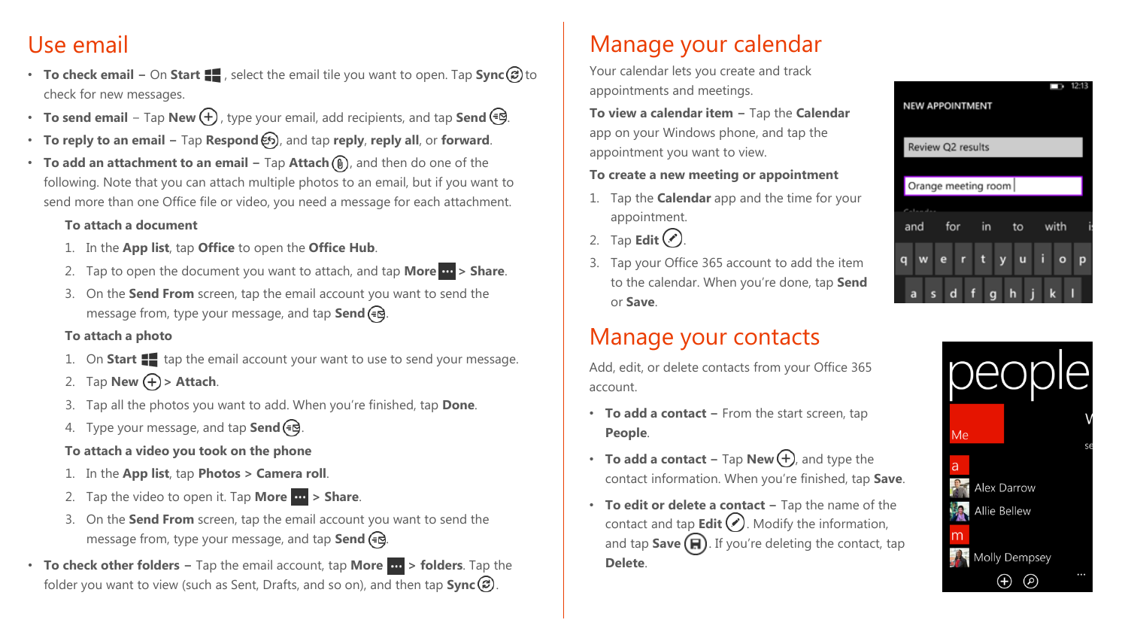# Use email

- **To check email –** On **Start**  $\blacksquare$ , select the email tile you want to open. Tap **Sync** cal to check for new messages.
- **To send email** Tap New  $\bigoplus$ , type your email, add recipients, and tap Send <sup>€</sup>.
- **To reply to an email −** Tap **Respond** , and tap **reply**, **reply all**, or **forward**.
- **To add an attachment to an email –** Tap **Attach** (**0**), and then do one of the following. Note that you can attach multiple photos to an email, but if you want to send more than one Office file or video, you need a message for each attachment.

#### **To attach a document**

- 1. In the **App list**, tap **Office** to open the **Office Hub**.
- 2. Tap to open the document you want to attach, and tap **More > Share**.
- 3. On the **Send From** screen, tap the email account you want to send the message from, type your message, and tap **Send** (= $\Theta$ ).

#### **To attach a photo**

- 1. On **Start :** tap the email account your want to use to send your message.
- 2. Tap **New**  $\left(\frac{\mathbf{F}}{\mathbf{F}}\right) > \mathbf{Attach}$ .
- 3. Tap all the photos you want to add. When you're finished, tap **Done**.
- 4. Type your message, and tap **Send** .

### **To attach a video you took on the phone**

- 1. In the **App list**, tap **Photos > Camera roll**.
- 2. Tap the video to open it. Tap **More**  $\mathbf{w}$  > **Share**.
- 3. On the **Send From** screen, tap the email account you want to send the message from, type your message, and tap **Send** (= $\Theta$ .
- **To check other folders −** Tap the email account, tap **More > folders**. Tap the folder you want to view (such as Sent, Drafts, and so on), and then tap **Sync**  $\circledR$ .

# Manage your calendar

Your calendar lets you create and track appointments and meetings.

**To view a calendar item −** Tap the **Calendar**  app on your Windows phone, and tap the appointment you want to view.

#### **To create a new meeting or appointment**

- 1. Tap the **Calendar** app and the time for your appointment.
- 2. Tap **Edit** $\bigcirc$ .
- 3. Tap your Office 365 account to add the item to the calendar. When you're done, tap **Send** or **Save**.

# Manage your contacts

Add, edit, or delete contacts from your Office 365 account.

- **To add a contact −** From the start screen, tap **People**.
- **To add a contact –** Tap **New** $(\text{+})$ , and type the contact information. When you're finished, tap **Save**.
- **To edit or delete a contact −** Tap the name of the contact and tap **Edit**  $\bigcirc$ . Modify the information, and tap  $Save$  $(n)$ . If you're deleting the contact, tap **Delete**.



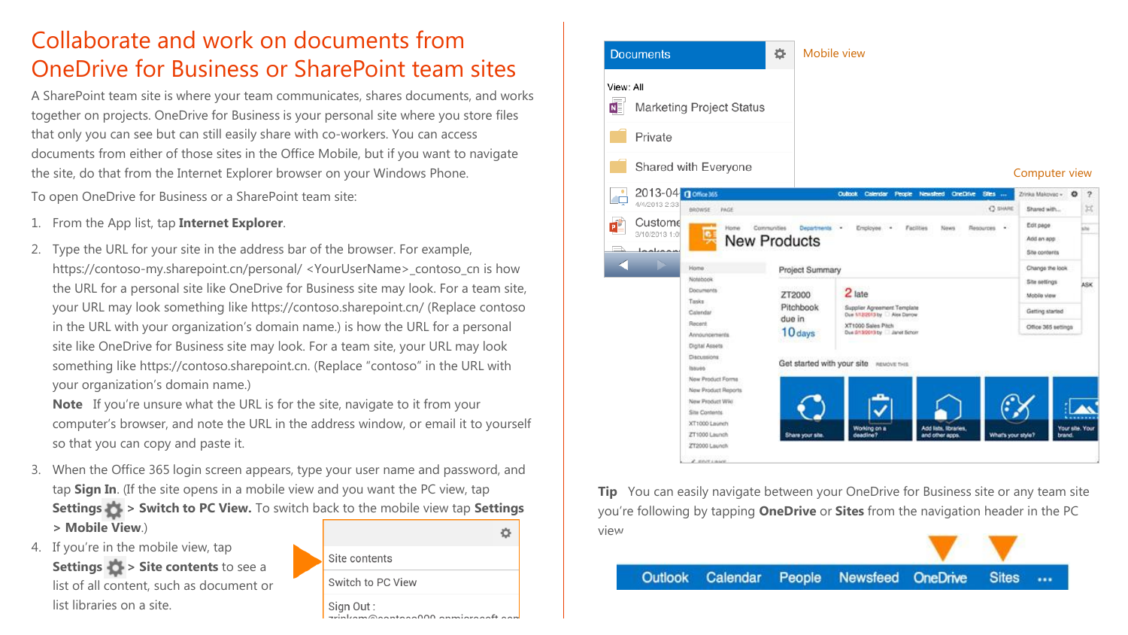# Collaborate and work on documents from OneDrive for Business or SharePoint team sites

A SharePoint team site is where your team communicates, shares documents, and works together on projects. OneDrive for Business is your personal site where you store files that only you can see but can still easily share with co-workers. You can access documents from either of those sites in the Office Mobile, but if you want to navigate the site, do that from the Internet Explorer browser on your Windows Phone.

To open OneDrive for Business or a SharePoint team site:

- 1. From the App list, tap **Internet Explorer**.
- 2. Type the URL for your site in the address bar of the browser. For example, https://contoso-my.sharepoint.cn/personal/ <YourUserName>\_contoso\_cn is how the URL for a personal site like OneDrive for Business site may look. For a team site, your URL may look something like https://contoso.sharepoint.cn/ (Replace contoso in the URL with your organization's domain name.) is how the URL for a personal site like OneDrive for Business site may look. For a team site, your URL may look something like https://contoso.sharepoint.cn. (Replace "contoso" in the URL with your organization's domain name.)

**Note** If you're unsure what the URL is for the site, navigate to it from your computer's browser, and note the URL in the address window, or email it to yourself so that you can copy and paste it.

- 3. When the Office 365 login screen appears, type your user name and password, and tap **Sign In**. (If the site opens in a mobile view and you want the PC view, tap **Settings**  $\rightarrow$  **> Switch to PC View.** To switch back to the mobile view tap **Settings > Mobile View**.)
- 4. If you're in the mobile view, tap **Settings**  $\bullet$  **> Site contents** to see a list of all content, such as document or list libraries on a site.

|  | Site contents     |  |
|--|-------------------|--|
|  | Switch to PC View |  |
|  | Sign Out :        |  |



**Tip** You can easily navigate between your OneDrive for Business site or any team site you're following by tapping **OneDrive** or **Sites** from the navigation header in the PC view.

Outlook Calendar People **OneDrive Sites Newsfeed**  $...$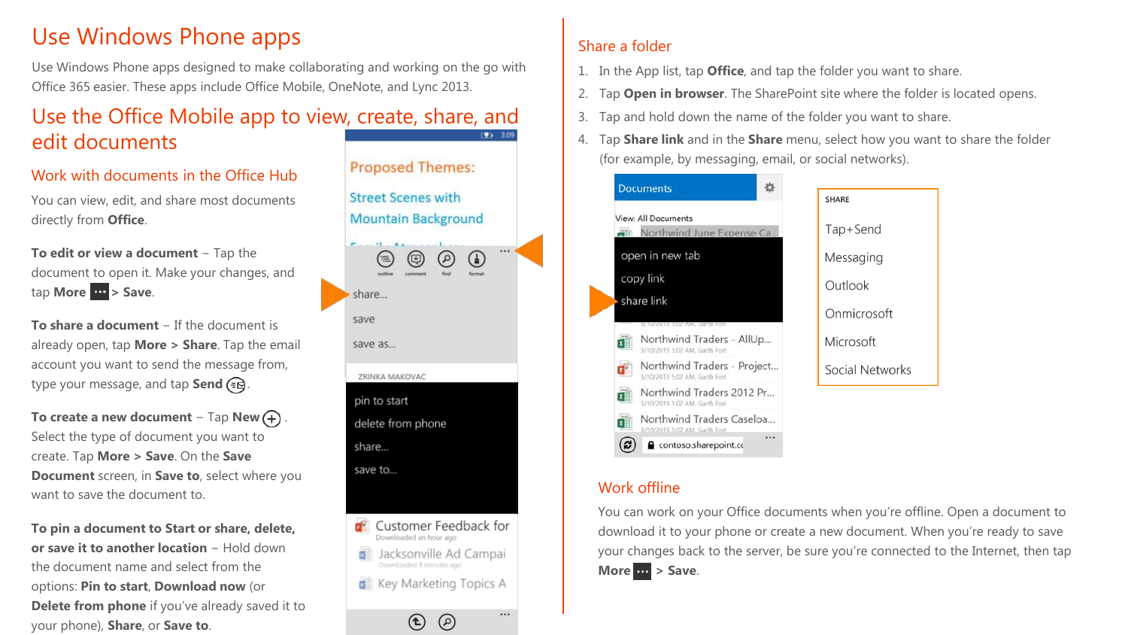# Use Windows Phone apps

Use Windows Phone apps designed to make collaborating and working on the go with Office 365 easier. These apps include Office Mobile, OneNote, and Lync 2013.

#### Use the Office Mobile app to view, create, share, and  $41.309$ edit documents

### Work with documents in the Office Hub

You can view, edit, and share most documents directly from **Office**.

**To edit or view a document** − Tap the document to open it. Make your changes, and tap **More**  $\mathbf{w}$  > Save.

**To share a document** − If the document is already open, tap **More > Share**. Tap the email account you want to send the message from, type your message, and tap **Send** .

**To create a new document** − Tap **New** . Select the type of document you want to create. Tap **More > Save**. On the **Save Document** screen, in **Save to**, select where you want to save the document to.

**To pin a document to Start or share, delete, or save it to another location** − Hold down the document name and select from the options: **Pin to start**, **Download now** (or **Delete from phone** if you've already saved it to your phone), **Share**, or **Save to**.



 $\circledcirc$ 

 $\circledcirc$ 

 $\cdots$ 

### Share a folder

- 1. In the App list, tap **Office**, and tap the folder you want to share.
- 2. Tap **Open in browser**. The SharePoint site where the folder is located opens.
- 3. Tap and hold down the name of the folder you want to share.
- 4. Tap **Share link** and in the **Share** menu, select how you want to share the folder (for example, by messaging, email, or social networks).



### Work offline

You can work on your Office documents when you're offline. Open a document to download it to your phone or create a new document. When you're ready to save your changes back to the server, be sure you're connected to the Internet, then tap **More > Save**.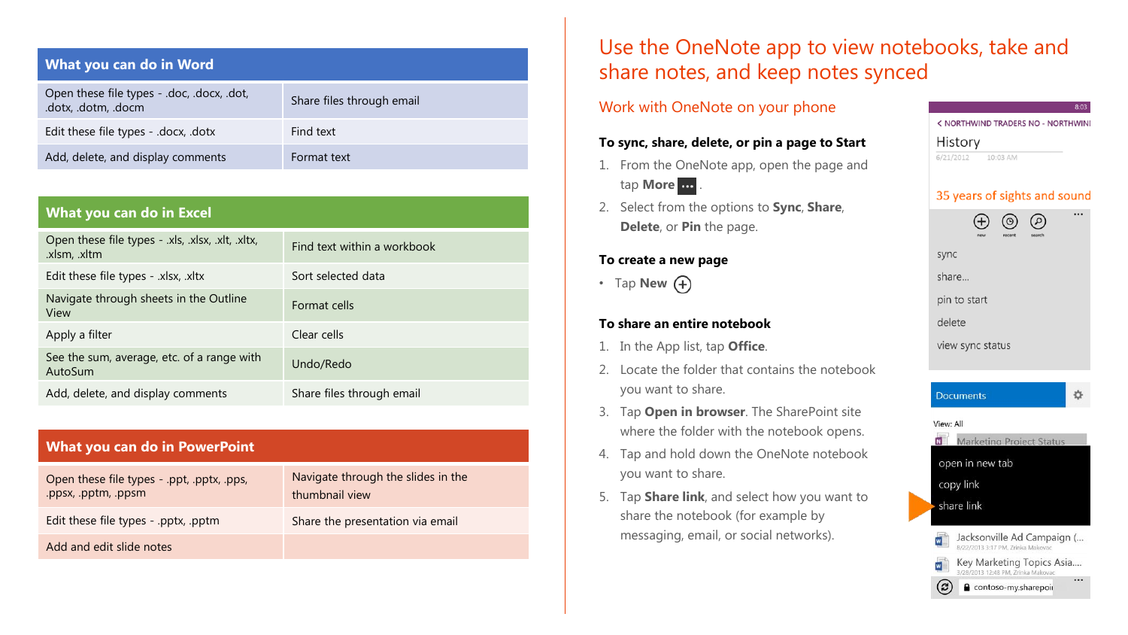| What you can do in Word                                           |                           |  |  |  |
|-------------------------------------------------------------------|---------------------------|--|--|--|
| Open these file types - .doc, .docx, .dot,<br>.dotx, .dotm, .docm | Share files through email |  |  |  |
| Edit these file types - .docx, .dotx                              | Find text                 |  |  |  |
| Add, delete, and display comments                                 | Format text               |  |  |  |

| What you can do in Excel |  |
|--------------------------|--|

| Open these file types - .xls, .xlsx, .xlt, .xltx,<br>.xlsm, .xltm | Find text within a workbook |
|-------------------------------------------------------------------|-----------------------------|
| Edit these file types - .xlsx, .xltx                              | Sort selected data          |
| Navigate through sheets in the Outline<br>View                    | Format cells                |
| Apply a filter                                                    | Clear cells                 |
| See the sum, average, etc. of a range with<br>AutoSum             | Undo/Redo                   |
| Add, delete, and display comments                                 | Share files through email   |

#### **What you can do in PowerPoint**

| Open these file types - .ppt, .pptx, .pps,<br>.ppsx, .pptm, .ppsm | Navigate through the slides in the<br>thumbnail view |
|-------------------------------------------------------------------|------------------------------------------------------|
| Edit these file types - .pptx, .pptm                              | Share the presentation via email                     |
| Add and edit slide notes                                          |                                                      |

# Use the OneNote app to view notebooks, take and share notes, and keep notes synced

#### Work with OneNote on your phone

#### **To sync, share, delete, or pin a page to Start**

- 1. From the OneNote app, open the page and tap **More** .
- 2. Select from the options to **Sync**, **Share**, **Delete**, or **Pin** the page.

#### **To create a new page**

• Tap **New**  $(+)$ 

#### **To share an entire notebook**

- 1. In the App list, tap **Office**.
- 2. Locate the folder that contains the notebook you want to share.
- 3. Tap **Open in browser**. The SharePoint site where the folder with the notebook opens.
- 4. Tap and hold down the OneNote notebook you want to share.
- 5. Tap **Share link**, and select how you want to share the notebook (for example by messaging, email, or social networks).

#### 8:03

办

< NORTHWIND TRADERS NO - NORTHWIND

#### History

 $6/21/2012$ 10:03 AM

#### 35 years of sights and sound